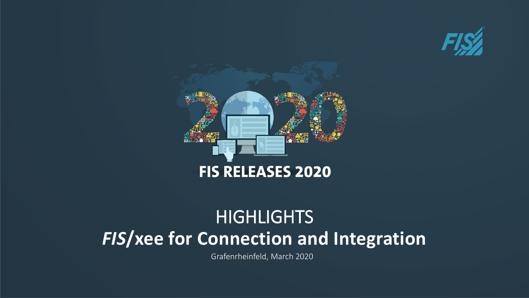



# *FIS***/xee for Connection and Integration HIGHLIGHTS**

Grafenrheinfeld, March 2020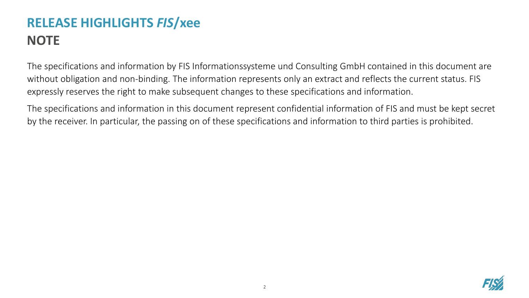# **RELEASE HIGHLIGHTS** *FIS***/xee NOTE**

The specifications and information by FIS Informationssysteme und Consulting GmbH contained in this document are without obligation and non-binding. The information represents only an extract and reflects the current status. FIS expressly reserves the right to make subsequent changes to these specifications and information.

The specifications and information in this document represent confidential information of FIS and must be kept secret by the receiver. In particular, the passing on of these specifications and information to third parties is prohibited.

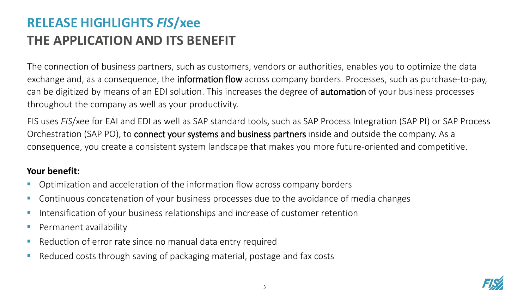# **RELEASE HIGHLIGHTS** *FIS***/xee THE APPLICATION AND ITS BENEFIT**

The connection of business partners, such as customers, vendors or authorities, enables you to optimize the data exchange and, as a consequence, the **information flow** across company borders. Processes, such as purchase-to-pay, can be digitized by means of an EDI solution. This increases the degree of automation of your business processes throughout the company as well as your productivity.

FIS uses *FIS*/xee for EAI and EDI as well as SAP standard tools, such as SAP Process Integration (SAP PI) or SAP Process Orchestration (SAP PO), to connect your systems and business partners inside and outside the company. As a consequence, you create a consistent system landscape that makes you more future-oriented and competitive.

#### **Your benefit:**

- Optimization and acceleration of the information flow across company borders
- Continuous concatenation of your business processes due to the avoidance of media changes
- Intensification of your business relationships and increase of customer retention
- Permanent availability
- Reduction of error rate since no manual data entry required
- Reduced costs through saving of packaging material, postage and fax costs

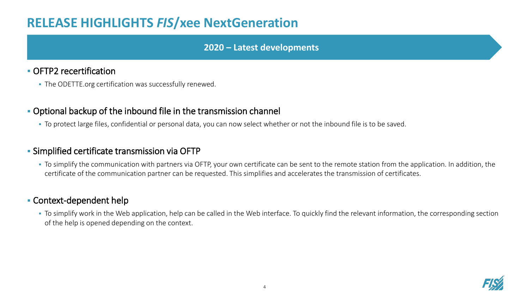### **RELEASE HIGHLIGHTS** *FIS***/xee NextGeneration**

#### **2020 – Latest developments**

#### **• OFTP2 recertification**

**• The ODETTE.org certification was successfully renewed.** 

#### ▪ Optional backup of the inbound file in the transmission channel

▪ To protect large files, confidential or personal data, you can now select whether or not the inbound file is to be saved.

#### **EXIMPLE Simplified certificate transmission via OFTP**

▪ To simplify the communication with partners via OFTP, your own certificate can be sent to the remote station from the application. In addition, the certificate of the communication partner can be requested. This simplifies and accelerates the transmission of certificates.

#### ▪ Context-dependent help

• To simplify work in the Web application, help can be called in the Web interface. To quickly find the relevant information, the corresponding section of the help is opened depending on the context.

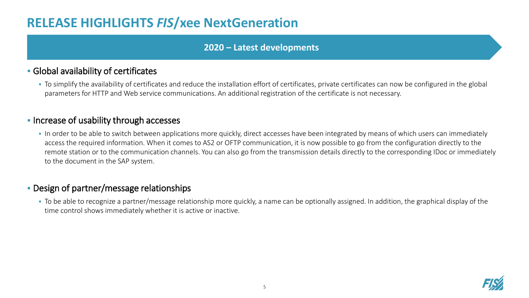### **RELEASE HIGHLIGHTS** *FIS***/xee NextGeneration**

#### **2020 – Latest developments**

#### **• Global availability of certificates**

▪ To simplify the availability of certificates and reduce the installation effort of certificates, private certificates can now be configured in the global parameters for HTTP and Web service communications. An additional registration of the certificate is not necessary.

#### **.** Increase of usability through accesses

• In order to be able to switch between applications more quickly, direct accesses have been integrated by means of which users can immediately access the required information. When it comes to AS2 or OFTP communication, it is now possible to go from the configuration directly to the remote station or to the communication channels. You can also go from the transmission details directly to the corresponding IDoc or immediately to the document in the SAP system.

#### **• Design of partner/message relationships**

▪ To be able to recognize a partner/message relationship more quickly, a name can be optionally assigned. In addition, the graphical display of the time control shows immediately whether it is active or inactive.

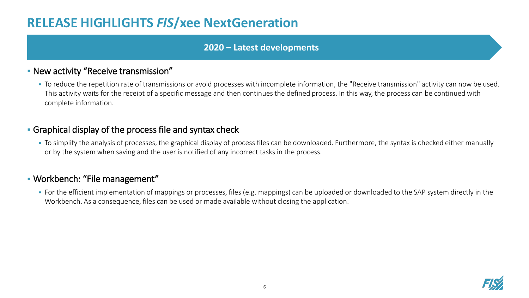### **RELEASE HIGHLIGHTS** *FIS***/xee NextGeneration**

#### **2020 – Latest developments**

#### ▪ New activity "Receive transmission"

▪ To reduce the repetition rate of transmissions or avoid processes with incomplete information, the "Receive transmission" activity can now be used. This activity waits for the receipt of a specific message and then continues the defined process. In this way, the process can be continued with complete information.

#### ▪ Graphical display of the process file and syntax check

▪ To simplify the analysis of processes, the graphical display of process files can be downloaded. Furthermore, the syntax is checked either manually or by the system when saving and the user is notified of any incorrect tasks in the process.

#### ▪ Workbench: "File management"

■ For the efficient implementation of mappings or processes, files (e.g. mappings) can be uploaded or downloaded to the SAP system directly in the Workbench. As a consequence, files can be used or made available without closing the application.